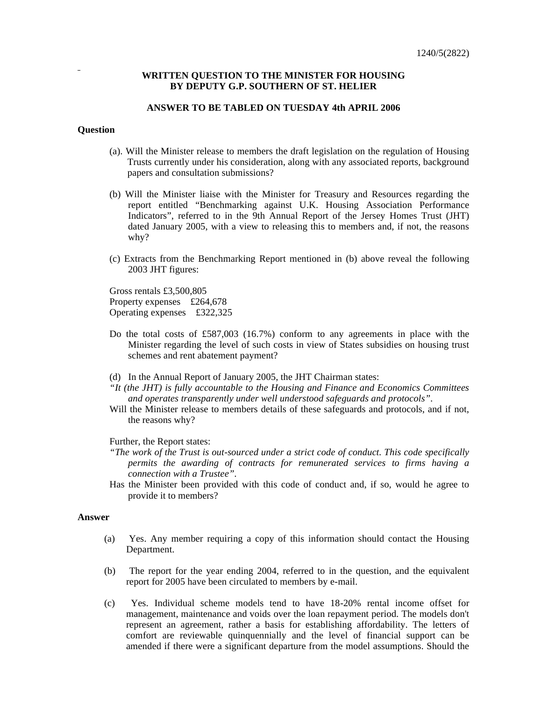# **WRITTEN QUESTION TO THE MINISTER FOR HOUSING BY DEPUTY G.P. SOUTHERN OF ST. HELIER**

#### **ANSWER TO BE TABLED ON TUESDAY 4th APRIL 2006**

# **Question**

- (a). Will the Minister release to members the draft legislation on the regulation of Housing Trusts currently under his consideration, along with any associated reports, background papers and consultation submissions?
- (b) Will the Minister liaise with the Minister for Treasury and Resources regarding the report entitled "Benchmarking against U.K. Housing Association Performance Indicators", referred to in the 9th Annual Report of the Jersey Homes Trust (JHT) dated January 2005, with a view to releasing this to members and, if not, the reasons why?
- (c) Extracts from the Benchmarking Report mentioned in (b) above reveal the following 2003 JHT figures:

Gross rentals £3,500,805 Property expenses £264,678 Operating expenses £322,325

- Do the total costs of £587,003 (16.7%) conform to any agreements in place with the Minister regarding the level of such costs in view of States subsidies on housing trust schemes and rent abatement payment?
- (d) In the Annual Report of January 2005, the JHT Chairman states:
- *"It (the JHT) is fully accountable to the Housing and Finance and Economics Committees and operates transparently under well understood safeguards and protocols".*
- Will the Minister release to members details of these safeguards and protocols, and if not, the reasons why?

# Further, the Report states:

- *"The work of the Trust is out-sourced under a strict code of conduct. This code specifically permits the awarding of contracts for remunerated services to firms having a connection with a Trustee".*
- Has the Minister been provided with this code of conduct and, if so, would he agree to provide it to members?

# **Answer**

- (a) Yes. Any member requiring a copy of this information should contact the Housing Department.
- (b) The report for the year ending 2004, referred to in the question, and the equivalent report for 2005 have been circulated to members by e-mail.
- (c) Yes. Individual scheme models tend to have 18-20% rental income offset for management, maintenance and voids over the loan repayment period. The models don't represent an agreement, rather a basis for establishing affordability. The letters of comfort are reviewable quinquennially and the level of financial support can be amended if there were a significant departure from the model assumptions. Should the